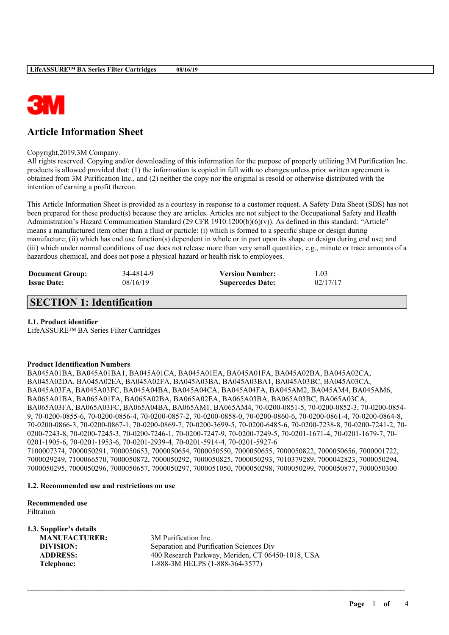

# **Article Information Sheet**

Copyright,2019,3M Company.

All rights reserved. Copying and/or downloading of this information for the purpose of properly utilizing 3M Purification Inc. products is allowed provided that: (1) the information is copied in full with no changes unless prior written agreement is obtained from 3M Purification Inc., and (2) neither the copy nor the original is resold or otherwise distributed with the intention of earning a profit thereon.

This Article Information Sheet is provided as a courtesy in response to a customer request. A Safety Data Sheet (SDS) has not been prepared for these product(s) because they are articles. Articles are not subject to the Occupational Safety and Health Administration's Hazard Communication Standard (29 CFR 1910.1200(b)(6)(v)). As defined in this standard: "Article" means a manufactured item other than a fluid or particle: (i) which is formed to a specific shape or design during manufacture; (ii) which has end use function(s) dependent in whole or in part upon its shape or design during end use; and (iii) which under normal conditions of use does not release more than very small quantities, e.g., minute or trace amounts of a hazardous chemical, and does not pose a physical hazard or health risk to employees.

| <b>Document Group:</b> | 34-4814-9 | <b>Version Number:</b>  | 1.03     |
|------------------------|-----------|-------------------------|----------|
| <b>Issue Date:</b>     | 08/16/19  | <b>Supercedes Date:</b> | 02/17/17 |

# **SECTION 1: Identification**

#### **1.1. Product identifier**

LifeASSURE™ BA Series Filter Cartridges

#### **Product Identification Numbers**

BA045A01BA, BA045A01BA1, BA045A01CA, BA045A01EA, BA045A01FA, BA045A02BA, BA045A02CA, BA045A02DA, BA045A02EA, BA045A02FA, BA045A03BA, BA045A03BA1, BA045A03BC, BA045A03CA, BA045A03FA, BA045A03FC, BA045A04BA, BA045A04CA, BA045A04FA, BA045AM2, BA045AM4, BA045AM6, BA065A01BA, BA065A01FA, BA065A02BA, BA065A02EA, BA065A03BA, BA065A03BC, BA065A03CA, BA065A03FA, BA065A03FC, BA065A04BA, BA065AM1, BA065AM4, 70-0200-0851-5, 70-0200-0852-3, 70-0200-0854- 9, 70-0200-0855-6, 70-0200-0856-4, 70-0200-0857-2, 70-0200-0858-0, 70-0200-0860-6, 70-0200-0861-4, 70-0200-0864-8, 70-0200-0866-3, 70-0200-0867-1, 70-0200-0869-7, 70-0200-3699-5, 70-0200-6485-6, 70-0200-7238-8, 70-0200-7241-2, 70- 0200-7243-8, 70-0200-7245-3, 70-0200-7246-1, 70-0200-7247-9, 70-0200-7249-5, 70-0201-1671-4, 70-0201-1679-7, 70- 0201-1905-6, 70-0201-1953-6, 70-0201-2939-4, 70-0201-5914-4, 70-0201-5927-6 7100007374, 7000050291, 7000050653, 7000050654, 7000050550, 7000050655, 7000050822, 7000050656, 7000001722, 7000029249, 7100066570, 7000050872, 7000050292, 7000050825, 7000050293, 7010379289, 7000042823, 7000050294,

 $\mathcal{L}_\mathcal{L} = \mathcal{L}_\mathcal{L} = \mathcal{L}_\mathcal{L} = \mathcal{L}_\mathcal{L} = \mathcal{L}_\mathcal{L} = \mathcal{L}_\mathcal{L} = \mathcal{L}_\mathcal{L} = \mathcal{L}_\mathcal{L} = \mathcal{L}_\mathcal{L} = \mathcal{L}_\mathcal{L} = \mathcal{L}_\mathcal{L} = \mathcal{L}_\mathcal{L} = \mathcal{L}_\mathcal{L} = \mathcal{L}_\mathcal{L} = \mathcal{L}_\mathcal{L} = \mathcal{L}_\mathcal{L} = \mathcal{L}_\mathcal{L}$ 

7000050295, 7000050296, 7000050657, 7000050297, 7000051050, 7000050298, 7000050299, 7000050877, 7000050300

#### **1.2. Recommended use and restrictions on use**

**Recommended use** Filtration

| 1.3. Supplier's details |                                                   |
|-------------------------|---------------------------------------------------|
| <b>MANUFACTURER:</b>    | 3M Purification Inc.                              |
| DIVISION:               | Separation and Purification Sciences Div          |
| <b>ADDRESS:</b>         | 400 Research Parkway, Meriden, CT 06450-1018, USA |
| Telephone:              | 1-888-3M HELPS (1-888-364-3577)                   |
|                         |                                                   |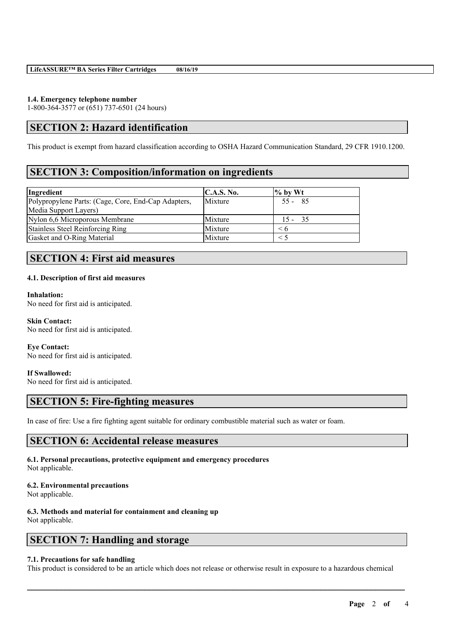#### **1.4. Emergency telephone number**

1-800-364-3577 or (651) 737-6501 (24 hours)

# **SECTION 2: Hazard identification**

This product is exempt from hazard classification according to OSHA Hazard Communication Standard, 29 CFR 1910.1200.

### **SECTION 3: Composition/information on ingredients**

| Ingredient                                          | C.A.S. No. | $\%$ by Wt |
|-----------------------------------------------------|------------|------------|
| Polypropylene Parts: (Cage, Core, End-Cap Adapters, | Mixture    | $55 - 85$  |
| Media Support Layers)                               |            |            |
| Nylon 6,6 Microporous Membrane                      | Mixture    | $15 - 35$  |
| <b>Stainless Steel Reinforcing Ring</b>             | Mixture    | < б        |
| Gasket and O-Ring Material                          | Mixture    |            |

### **SECTION 4: First aid measures**

#### **4.1. Description of first aid measures**

#### **Inhalation:**

No need for first aid is anticipated.

**Skin Contact:** No need for first aid is anticipated.

**Eye Contact:** No need for first aid is anticipated.

#### **If Swallowed:**

No need for first aid is anticipated.

### **SECTION 5: Fire-fighting measures**

In case of fire: Use a fire fighting agent suitable for ordinary combustible material such as water or foam.

#### **SECTION 6: Accidental release measures**

**6.1. Personal precautions, protective equipment and emergency procedures** Not applicable.

#### **6.2. Environmental precautions**

Not applicable.

# **6.3. Methods and material for containment and cleaning up**

Not applicable.

# **SECTION 7: Handling and storage**

#### **7.1. Precautions for safe handling**

This product is considered to be an article which does not release or otherwise result in exposure to a hazardous chemical

 $\mathcal{L}_\mathcal{L} = \mathcal{L}_\mathcal{L} = \mathcal{L}_\mathcal{L} = \mathcal{L}_\mathcal{L} = \mathcal{L}_\mathcal{L} = \mathcal{L}_\mathcal{L} = \mathcal{L}_\mathcal{L} = \mathcal{L}_\mathcal{L} = \mathcal{L}_\mathcal{L} = \mathcal{L}_\mathcal{L} = \mathcal{L}_\mathcal{L} = \mathcal{L}_\mathcal{L} = \mathcal{L}_\mathcal{L} = \mathcal{L}_\mathcal{L} = \mathcal{L}_\mathcal{L} = \mathcal{L}_\mathcal{L} = \mathcal{L}_\mathcal{L}$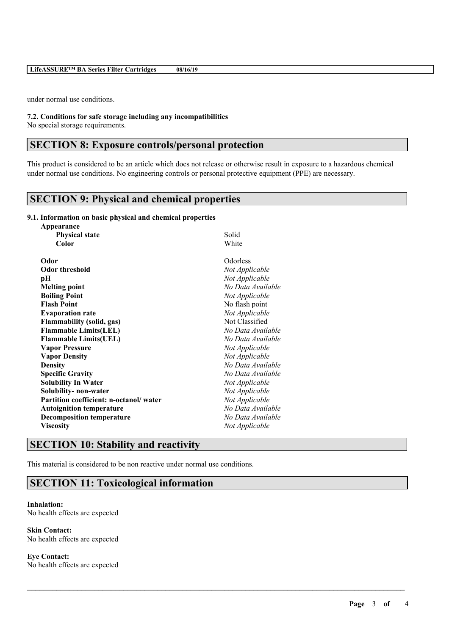under normal use conditions.

**7.2. Conditions for safe storage including any incompatibilities**

No special storage requirements.

### **SECTION 8: Exposure controls/personal protection**

This product is considered to be an article which does not release or otherwise result in exposure to a hazardous chemical under normal use conditions. No engineering controls or personal protective equipment (PPE) are necessary.

 $\mathcal{L}_\mathcal{L} = \mathcal{L}_\mathcal{L} = \mathcal{L}_\mathcal{L} = \mathcal{L}_\mathcal{L} = \mathcal{L}_\mathcal{L} = \mathcal{L}_\mathcal{L} = \mathcal{L}_\mathcal{L} = \mathcal{L}_\mathcal{L} = \mathcal{L}_\mathcal{L} = \mathcal{L}_\mathcal{L} = \mathcal{L}_\mathcal{L} = \mathcal{L}_\mathcal{L} = \mathcal{L}_\mathcal{L} = \mathcal{L}_\mathcal{L} = \mathcal{L}_\mathcal{L} = \mathcal{L}_\mathcal{L} = \mathcal{L}_\mathcal{L}$ 

# **SECTION 9: Physical and chemical properties**

#### **9.1. Information on basic physical and chemical properties**

| Appearance                             |                   |
|----------------------------------------|-------------------|
| <b>Physical state</b>                  | Solid             |
| Color                                  | White             |
| Odor                                   | Odorless          |
| <b>Odor threshold</b>                  | Not Applicable    |
| pН                                     | Not Applicable    |
| <b>Melting point</b>                   | No Data Available |
| <b>Boiling Point</b>                   | Not Applicable    |
| <b>Flash Point</b>                     | No flash point    |
| <b>Evaporation rate</b>                | Not Applicable    |
| <b>Flammability (solid, gas)</b>       | Not Classified    |
| <b>Flammable Limits(LEL)</b>           | No Data Available |
| <b>Flammable Limits(UEL)</b>           | No Data Available |
| <b>Vapor Pressure</b>                  | Not Applicable    |
| <b>Vapor Density</b>                   | Not Applicable    |
| <b>Density</b>                         | No Data Available |
| <b>Specific Gravity</b>                | No Data Available |
| <b>Solubility In Water</b>             | Not Applicable    |
| Solubility- non-water                  | Not Applicable    |
| Partition coefficient: n-octanol/water | Not Applicable    |
| <b>Autoignition temperature</b>        | No Data Available |
| <b>Decomposition temperature</b>       | No Data Available |
| <b>Viscosity</b>                       | Not Applicable    |

# **SECTION 10: Stability and reactivity**

This material is considered to be non reactive under normal use conditions.

### **SECTION 11: Toxicological information**

#### **Inhalation:** No health effects are expected

**Skin Contact:** No health effects are expected

**Eye Contact:** No health effects are expected